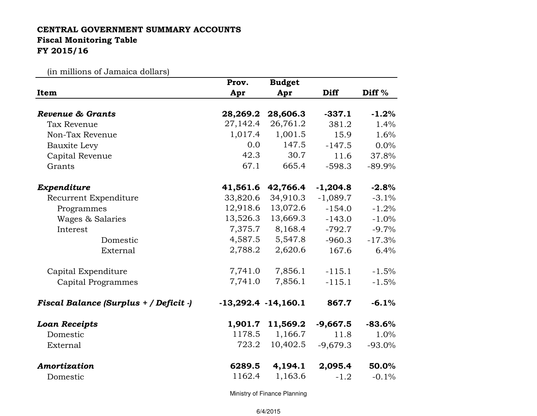## CENTRAL GOVERNMENT SUMMARY ACCOUNTS Fiscal Monitoring TableFY 2015/16

(in millions of Jamaica dollars)

|                                        | Prov.                   | <b>Budget</b> |             |                   |
|----------------------------------------|-------------------------|---------------|-------------|-------------------|
| Item                                   | Apr                     | Apr           | <b>Diff</b> | Diff <sup>%</sup> |
| <b>Revenue &amp; Grants</b>            | 28,269.2                | 28,606.3      | $-337.1$    | $-1.2%$           |
| Tax Revenue                            | 27,142.4                | 26,761.2      | 381.2       | 1.4%              |
| Non-Tax Revenue                        | 1,017.4                 | 1,001.5       | 15.9        | 1.6%              |
| Bauxite Levy                           | 0.0                     | 147.5         | $-147.5$    | $0.0\%$           |
| Capital Revenue                        | 42.3                    | 30.7          | 11.6        | 37.8%             |
| Grants                                 | 67.1                    | 665.4         | $-598.3$    | $-89.9\%$         |
| Expenditure                            | 41,561.6                | 42,766.4      | $-1,204.8$  | $-2.8%$           |
| Recurrent Expenditure                  | 33,820.6                | 34,910.3      | $-1,089.7$  | $-3.1%$           |
| Programmes                             | 12,918.6                | 13,072.6      | $-154.0$    | $-1.2%$           |
| Wages & Salaries                       | 13,526.3                | 13,669.3      | $-143.0$    | $-1.0%$           |
| Interest                               | 7,375.7                 | 8,168.4       | $-792.7$    | $-9.7%$           |
| Domestic                               | 4,587.5                 | 5,547.8       | $-960.3$    | $-17.3%$          |
| External                               | 2,788.2                 | 2,620.6       | 167.6       | 6.4%              |
| Capital Expenditure                    | 7,741.0                 | 7,856.1       | $-115.1$    | $-1.5%$           |
| Capital Programmes                     | 7,741.0                 | 7,856.1       | $-115.1$    | $-1.5%$           |
| Fiscal Balance (Surplus + / Deficit -) | $-13,292.4$ $-14,160.1$ |               | 867.7       | $-6.1%$           |
| <b>Loan Receipts</b>                   | 1,901.7                 | 11,569.2      | $-9,667.5$  | $-83.6%$          |
| Domestic                               | 1178.5                  | 1,166.7       | 11.8        | 1.0%              |
| External                               | 723.2                   | 10,402.5      | $-9,679.3$  | $-93.0\%$         |
| Amortization                           | 6289.5                  | 4,194.1       | 2,095.4     | 50.0%             |
| Domestic                               | 1162.4                  | 1,163.6       | $-1.2$      | $-0.1%$           |

Ministry of Finance Planning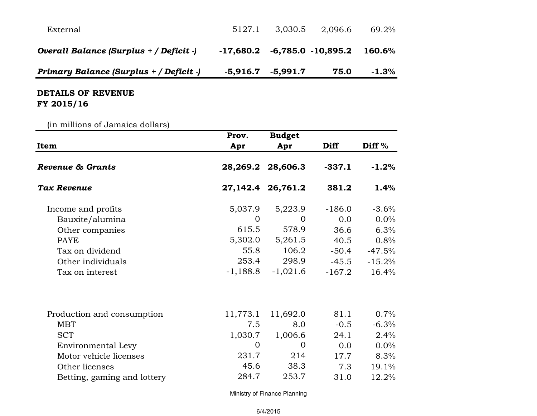| External                                |            | 5127.1 3,030.5 | 2.096.6                       | 69.2%   |
|-----------------------------------------|------------|----------------|-------------------------------|---------|
| Overall Balance (Surplus + / Deficit -) | -17,680.2  |                | $-6,785.0$ $-10,895.2$ 160.6% |         |
| Primary Balance (Surplus + / Deficit -) | $-5,916.7$ | $-5,991.7$     | 75.0                          | $-1.3%$ |

## DETAILS OF REVENUE FY 2015/16

(in millions of Jamaica dollars)

| In immons of oaimated donars, | Prov.          | <b>Budget</b>     |             |           |
|-------------------------------|----------------|-------------------|-------------|-----------|
| Item                          | Apr            | Apr               | <b>Diff</b> | Diff $%$  |
| Revenue & Grants              | 28,269.2       | 28,606.3          | $-337.1$    | $-1.2%$   |
| Tax Revenue                   |                | 27,142.4 26,761.2 | 381.2       | 1.4%      |
| Income and profits            | 5,037.9        | 5,223.9           | $-186.0$    | $-3.6%$   |
| Bauxite/alumina               | $\Omega$       | $\Omega$          | 0.0         | $0.0\%$   |
| Other companies               | 615.5          | 578.9             | 36.6        | 6.3%      |
| <b>PAYE</b>                   | 5,302.0        | 5,261.5           | 40.5        | 0.8%      |
| Tax on dividend               | 55.8           | 106.2             | $-50.4$     | $-47.5%$  |
| Other individuals             | 253.4          | 298.9             | $-45.5$     | $-15.2\%$ |
| Tax on interest               | $-1,188.8$     | $-1,021.6$        | $-167.2$    | 16.4%     |
| Production and consumption    | 11,773.1       | 11,692.0          | 81.1        | 0.7%      |
| <b>MBT</b>                    | 7.5            | 8.0               | $-0.5$      | $-6.3%$   |
| <b>SCT</b>                    | 1,030.7        | 1,006.6           | 24.1        | 2.4%      |
| Environmental Levy            | $\overline{0}$ | $\Omega$          | 0.0         | 0.0%      |
| Motor vehicle licenses        | 231.7          | 214               | 17.7        | 8.3%      |
| Other licenses                | 45.6           | 38.3              | 7.3         | 19.1%     |
| Betting, gaming and lottery   | 284.7          | 253.7             | 31.0        | 12.2%     |

Ministry of Finance Planning